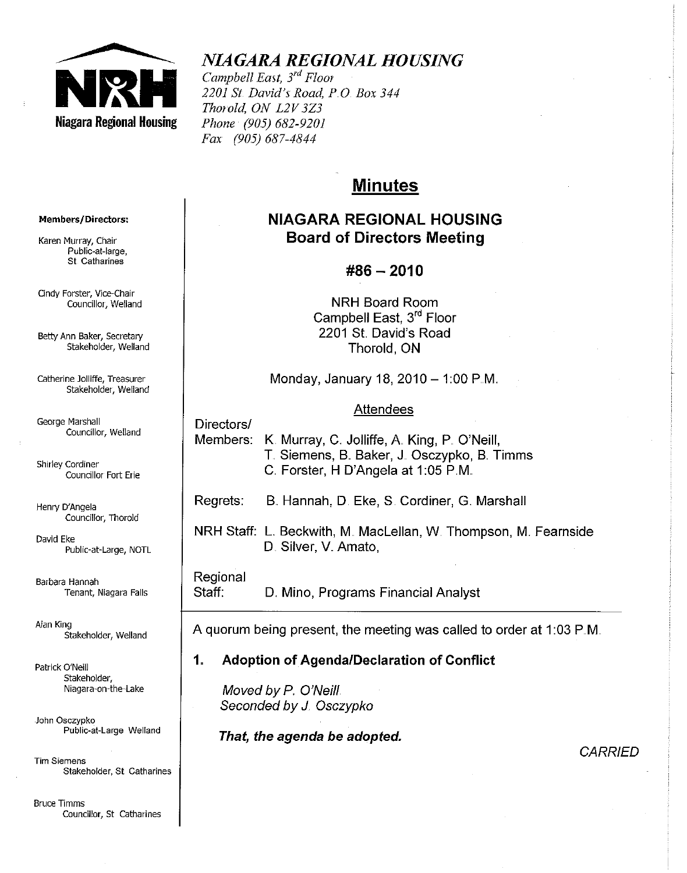

# *NIAGARA REGIONAL HOUSING*

*Campbell East, 3rd Floor 2201 Sf. David's Road, PO Box 344 Thorold, ON L2V3Z3 Phone (905) 682-9201 Fax (905) 687-4844* 

# **Minutes**

# **NIAGARA REGIONAL HOUSING Board of Directors Meeting**

# **#86 - 2010**

**NRH** Board Room Campbell East, 3rd Floor 2201 St David's Road Thorold, ON

Monday, January 18, 2010  $-$  1:00 P.M.

#### Attendees

Members: K. Murray, C. Jolliffe, A. King, P. O'Neill, T. Siemens, B. Baker, J. Osczypko, B. Timms C. Forster, H D'Angela at 1:05 P.M.

Regrets: B. Hannah, D. Eke, S. Cordiner, G. Marshall

**NRH Staff: L. Beckwith, M. MacLellan, W. Thompson, M. Fearnside** D. Silver, V. Amato,

#### Regional

Directors/

Staff: D. Mino, Programs Financial Analyst

A quorum being present, the meeting was called to order at 1:03 P.M.

## 1" **Adoption of Agenda/Declaration of Conflict**

Moved by P. O'Neill. Seconded by J. Osczypko

**That, the agenda be adopted.** 

**CARRIED** 

#### **Members/Directors:**

**Karen Murray, Chair**  Public-at-Iarge, **St Catharines** 

**Cindy Forster, Vice-Chair Councillor, Weiland** 

**Betty Ann Baker, Secretary**  Stakeholder, Weiland

**Catherine Jolliffe, Treasurer**  Stakeholder, Weiland

**George Marshall Councillor, Weiland** 

**Shirley Cordiner Councillor Fort Erie** 

Henry D'Angela **Councillor', Thorold** 

David Eke Public-at-Large, NOTL

**Barbara Hannah Tenant, Niagara Falls** 

Alan King Stakeholder, Weiland

Patrick O'Neill Stakeholder, **Niagara-on-the-Lake** 

**,John Osczypko Public-at-Large Weiland** 

Tim Siemens **Stakeholder, St Catharines** 

**Bruce Timms Councillor, St Catharines**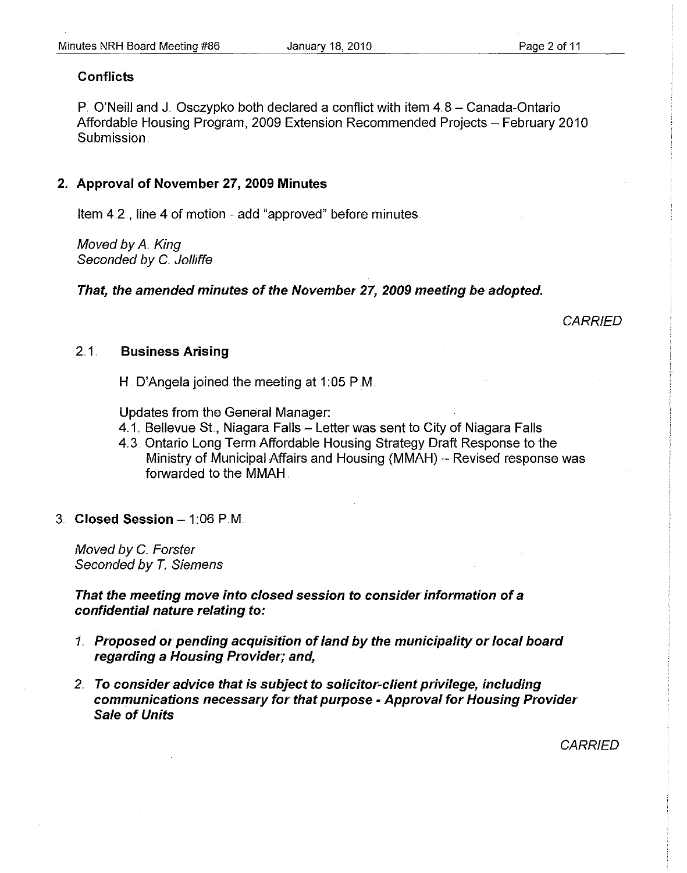#### **Conflicts**

P. O'Neill and J. Osczypko both declared a conflict with item 4.8 - Canada-Ontario Affordable Housing Program, 2009 Extension Recommended Projects - February 2010 Submission.

#### 2. Approval of November 27, 2009 Minutes

Item 42, line 4 of motion - add "approved" before minutes

Moved by A King Seconded by C. Jolliffe

That, the amended minutes of the November 27, 2009 meeting be adopted.

**CARRIED** 

#### 2.1 Business Arising

H. D'Angela joined the meeting at 1:05 P.M.

Updates from the General Manager:

- 4.1. Bellevue St., Niagara Falls Letter was sent to City of Niagara Falls
- 4.3. Ontario Long Term Affordable Housing Strategy Draft Response to the Ministry of Municipal Affairs and Housing (MMAH) - Revised response was forwarded to the MMAH.
- 3. Closed Session  $-1:06$  P.M.

Moved by C. Forster Seconded by T. Siemens

That the meeting move into closed session to consider information of a confidential nature relating to:

- *1.* Proposed or pending acquisition of land by the municipality or local board regarding a Housing Provider; and,
- 2.. To consider advice that is subject to solicitor-client privilege, including communications necessary for that purpose - Approval for Housing Provider Sale of Units

**CARRIED**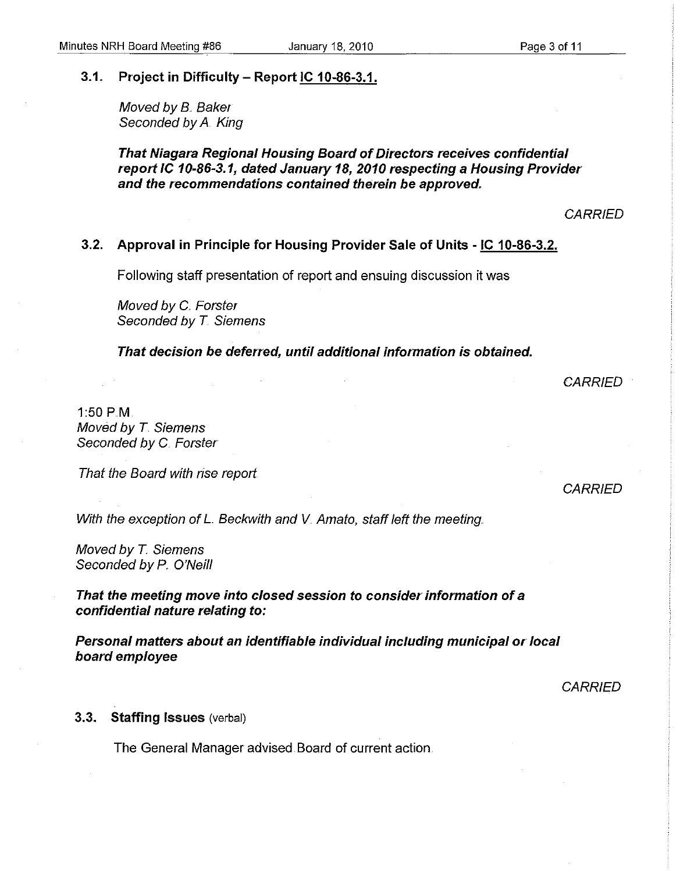#### 3.1. Project in Difficulty - Report IC 10-86-3.1.

Moved by B. Baker Seconded by A. King

That Niagara Regional Housing Board of Directors receives confidential report IC 10-86-3.1, dated January 18, 2010 respecting a Housing Provider and the recommendations contained therein be approved,

**CARRIED** 

#### 3.2. Approval in Principle for Housing Provider Sale of Units - IC 10-86-3.2.

Following staff presentation of report and ensuing discussion it was

Moved by C. Forster Seconded by T. Siemens

That decision be deferred, until additional information is obtained.

**CARRIED** 

1:50 PM Moved by T Siemens Seconded by C. Forster

That the Board with rise report.

**CARRIED** 

With the exception of L. Beckwith and V. Amato, staff left the meeting.

Moved by T. Siemens Seconded by P. O'Neill

That the meeting move into closed session to consider information of a confidential nature relating to:

Personal matters about an identifiable individual including municipal or local board employee

**CARRIED** 

#### 3.3. Staffing Issues (verbal)

The General Manager advised Board of current action.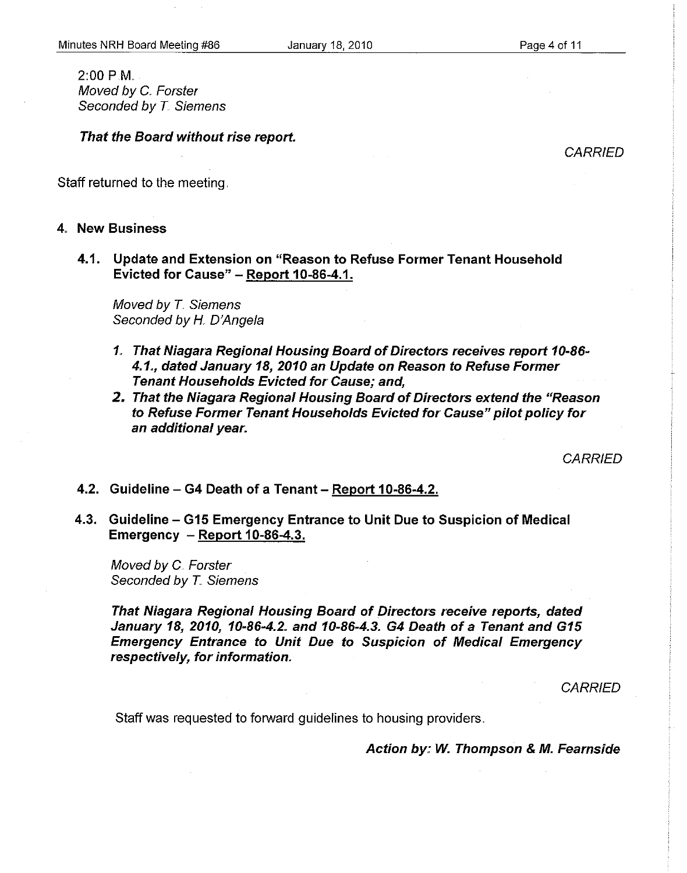2:00 PM Moved by C. Forster Seconded by T. Siemens

That the Board without rise report.

**CARRIED** 

Staff returned to the meeting.

#### 4. New Business

4.1. Update and Extension on "Reason to Refuse Former Tenant Household Evicted for Cause" - Report 10-86-4.1.

Moved by T. Siemens Seconded by H. D'Angela

- 1" That Niagara Regional Housing Board of Directors receives report 10-86- 4.1", dated January 18, 2010 an Update on Reason to Refuse Former Tenant Households Evicted for Cause; and,
- 2. That the Niagara Regional Housing Board of Directors extend the "Reason to Refuse Former Tenant Households Evicted for Cause" pilot policy for an additional year.

**CARRIED** 

#### 4.2. Guideline – G4 Death of a Tenant – Report 10-86-4.2.

4.3. Guideline – G15 Emergency Entrance to Unit Due to Suspicion of Medical Emergency - Report 10-86-4.3.

Moved by C. Forster Seconded by T. Siemens

That Niagara Regional Housing Board of Directors receive reports, dated January 18, 2010, 10-86-4.2" and 10-86-4.3. G4 Death of a Tenant and G15 Emergency Entrance to Unit Due to Suspicion of Medical Emergency respectively, for information.

**CARRIED** 

Staff was requested to forward quidelines to housing providers.

Action by,: W. Thompson & M. Fearnside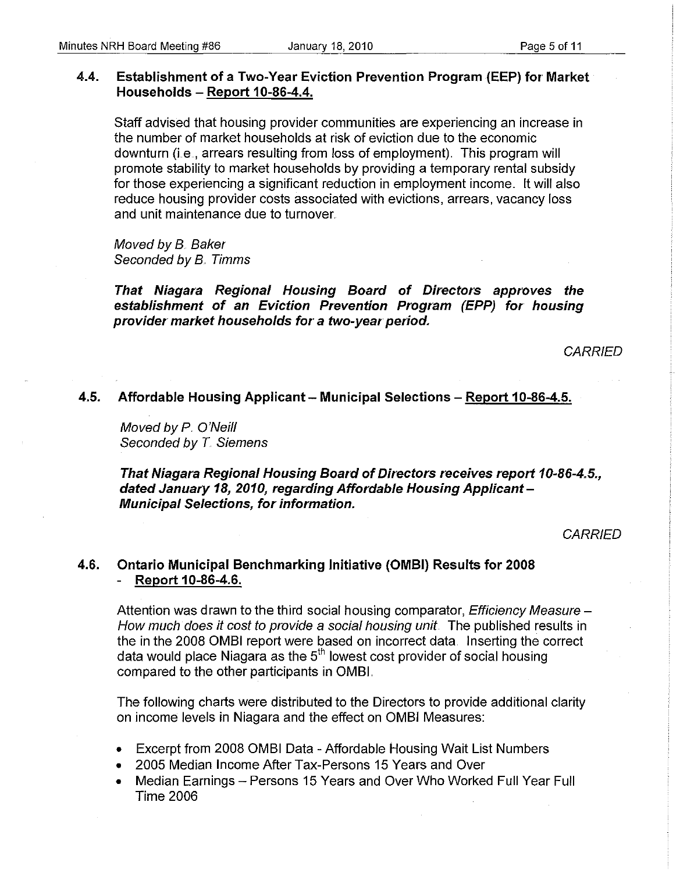## 4.4. Establishment of a Two-Year Eviction Prevention Program (EEP) for Market Households - Report 10-86-4.4.

Staff advised that housing provider communities are experiencing an increase in the number of market households at risk of eviction due to the economic downturn (i.e., arrears resulting from loss of employment). This program will promote stability to market households by providing a temporary rental subsidy for those experiencing a significant reduction in employment income.. It will also reduce housing provider costs associated with evictions, arrears, vacancy loss and unit maintenance due to turnover.

Moved by B. Baker Seconded by B. Timms

That Niagara Regional Housing Board of Directors approves the establishment of an Eviction Prevention Program (EPP) for housing provider market households for a two-year period.

**CARRIED** 

## 4.5. Affordable Housing Applicant - Municipal Selections - Report 10-86-4.5.

Moved by P. O'Neill Seconded by T. Siemens

That Niagara Regional Housing Board of Directors receives report 10-86-4.5., dated January 18, 2010, regarding Affordable Housing Applicant-Municipal Selections, for information.

**CARRIED** 

#### 4.6. Ontario Municipal Benchmarking Initiative (OMBI) Results for 2008 Report 10-86-4.6.

Attention was drawn to the third social housing comparator, *Efficiency Measure –* How much does it cost to provide a social housing unit. The published results in the in the 2008 OMSI report were based on incorrect data. Inserting the correct data would place Niagara as the 5<sup>th</sup> lowest cost provider of social housing compared to the other participants in OMSI.

The following charts were distributed to the Directors to provide additional clarity on income levels in Niagara and the effect on OMSI Measures:

- Excerpt from 2008 OMSI Data Affordable Housing Wait List Numbers
- 2005 Median Income After Tax-Persons 15 Years and Over
- Median Earnings Persons 15 Years and Over Who Worked Full Year Full Time 2006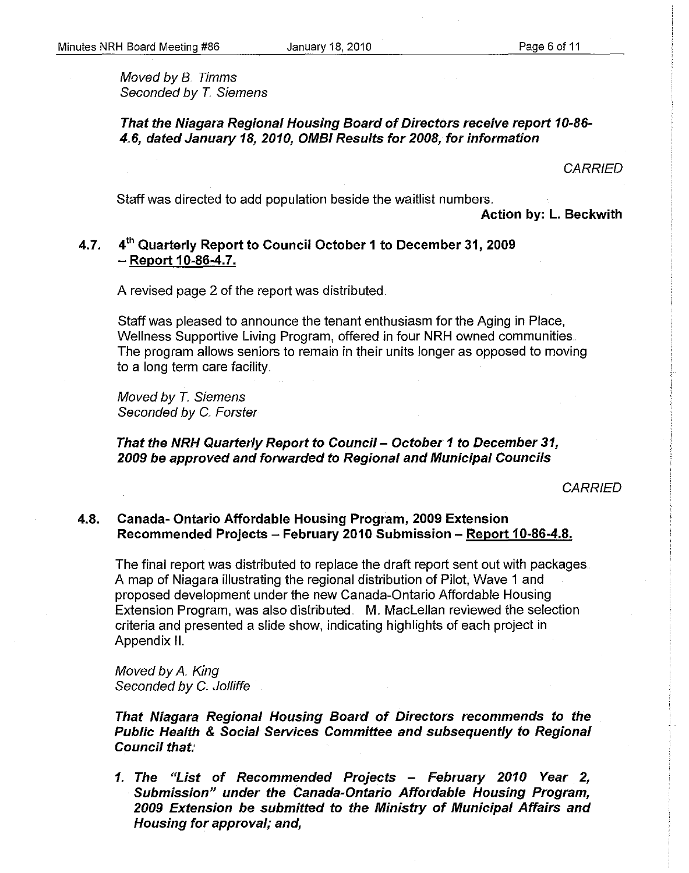Moved by B. Timms Seconded by T Siemens

That the Niagara Regional Housing Board of Directors receive report *10-86- 4.,6,* dated January *18,2010,* OMBI Results for *2008,* for information

**CARRIED** 

Staff was directed to add population beside the waitlist numbers.

Action by: L. Beckwith

# 4.7. 4<sup>th</sup> Quarterly Report to Council October 1 to December 31, 2009 - Report 10-86-4.7.

A revised page 2 of the report was distributed ..

Staff was pleased to announce the tenant enthusiasm for the Aging in Place, Wellness Supportive Living Program, offered in four NRH owned communities. The program allows seniors to remain in their units longer as opposed to moving to a long term care facility.

Moved by T. Siemens Seconded by C. Forster

#### That the NRH Quarterly Report to Council - October 1 to December 31, *2009* be approved and forwarded to Regional and Municipal Councils

**CARRIED** 

#### 4.8. Canada- Ontario Affordable Housing Program, 2009 Extension Recommended Projects - February 2010 Submission - Report 10-86-4.8.

The final report was distributed to replace the draft report sent out with packages .. A map of Niagara illustrating the regional distribution of Pilot, Wave 1 and proposed development under the new Canada-Ontario Affordable Housing Extension Program, was also distributed. M. MacLellan reviewed the selection criteria and presented a slide show, indicating highlights of each project in Appendix II

Moved by A. King Seconded by C. Jolliffe

That Niagara Regional Housing Board of Directors recommends to the Public Health & Social Services Committee and subsequently to Regional Council that;'

*1.* The "List of Recommended Projects - February *2010* Year *2,*  Submission" under the Canada-Ontario Affordable Housing Program, *2009* Extension be submitted to the Ministry of Municipal Affairs and Housing for approval; and,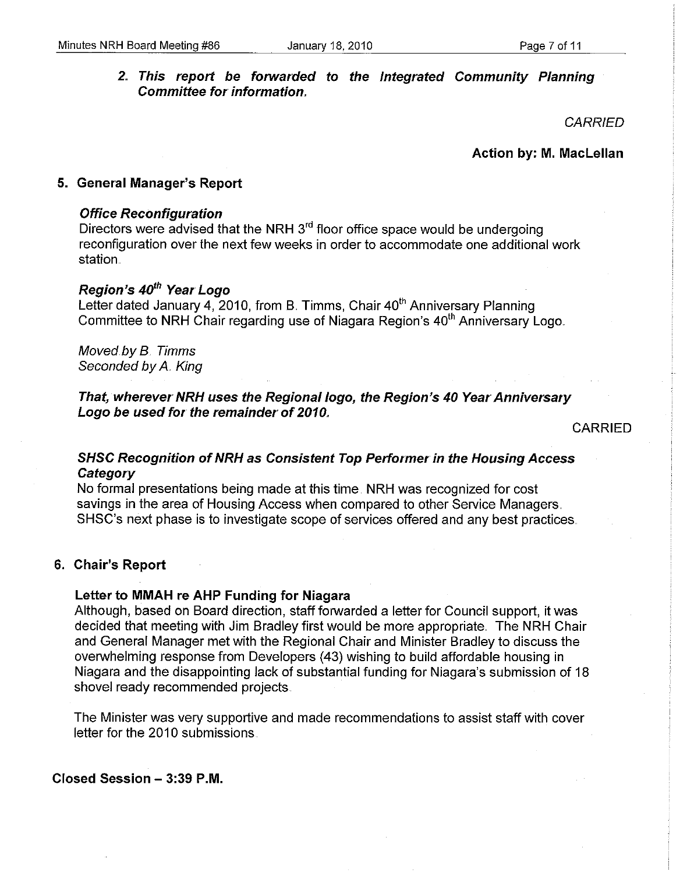## 2. This report be forwarded to the Integrated Community Planning Committee for information.

**CARRIED** 

Action by: M. Maclellan

#### 5. General Manager's Report

#### Office Reconfiguration

Directors were advised that the NRH 3<sup>rd</sup> floor office space would be undergoing reconfiguration over the next few weeks in order to accommodate one additional work station.

# Region's 40<sup>th</sup> Year Logo

Letter dated January 4, 2010, from B. Timms, Chair 40<sup>th</sup> Anniversary Planning Committee to NRH Chair regarding use of Niagara Region's 40<sup>th</sup> Anniversary Logo.

Moved by B. Timms Seconded by A. King

That, wherever NRH uses the Regional logo, the Region's 40 Year Anniversary Logo be used for the remainder of 2010.

CARRIED

## SHSC Recognition of NRH as Consistent Top Performer in the Housing Access **Category**

No formal presentations being made at this time. NRH was recognized for cost savings in the area of Housing Access when compared to other Service Managers. SHSC's next phase is to investigate scope of services offered and any best practices ..

#### 6. Chair's Report

#### letter to MMAH re AHP Funding for Niagara

Although, based on Board direction, staff forwarded a letter for Council support, it was decided that meeting with Jim Bradley first would be more appropriate. The NRH Chair and General Manager met with the Regional Chair and Minister Bradley to discuss the overwhelming response from Developers (43) wishing to build affordable housing in Niagara and the disappointing lack of substantial funding for Niagara's submission of 18 shovel ready recommended projects.

The Minister was very supportive and made recommendations to assist staff with cover letter for the 2010 submissions.

Closed Session - 3:39 P.M.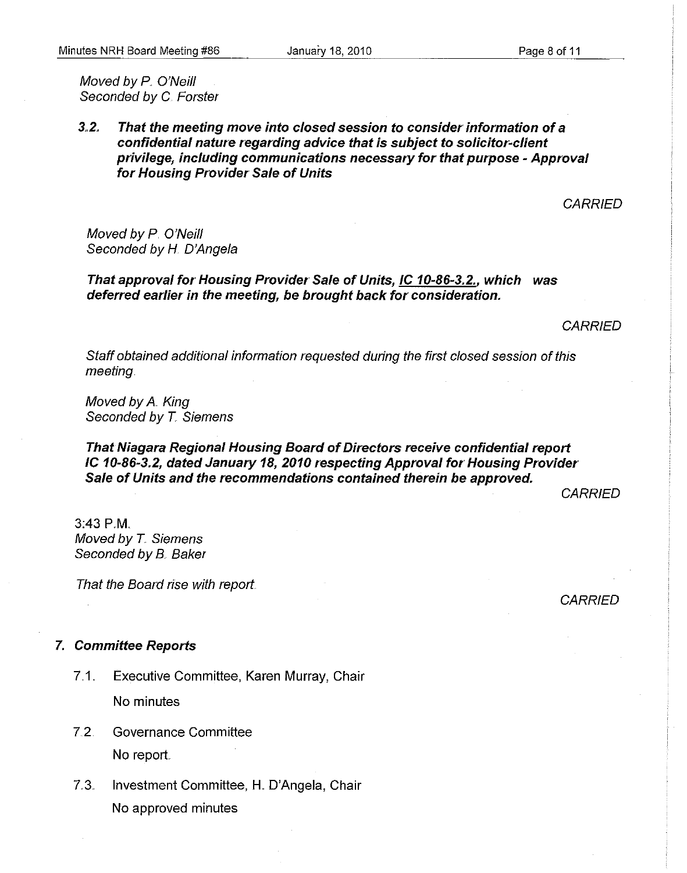Moved by P. O'Neill Seconded by C. Forster

#### 3.2. That the meeting move into closed session to consider information of a confidential nature regarding advice that is subject to solicitor~client privilege, including communications necessary for that purpose - Approval for Housing Provider Sale of Units

**CARRIED** 

Moved by P. O'Neill Seconded by H. D'Angela

That approval for Housing Provider Sale of Units, IC 10-86-3.2., which was deferred earlier in the meeting, be brought back for consideration.

**CARRIED** 

Staff obtained additional information requested during the first closed session of this meeting.

Moved by A. King Seconded by T. Siemens

#### That Niagara Regional Housing Board of Directors receive confidential report IC 10-86-3.2, dated January 18, 2010 respecting Approval for Housing Provider Sale of Units and the recommendations contained therein be approved.

**CARRIED** 

3:43 PM Moved by T. Siemens Seconded by B. Baker

That the Board rise with report.

**CARRIED** 

#### 7. Committee Reports

- 7.1.. Executive Committee, Karen Murray, Chair No minutes
- 7.2. Governance Committee No report
- 7.3. Investment Committee, H. O'Angela, Chair No approved minutes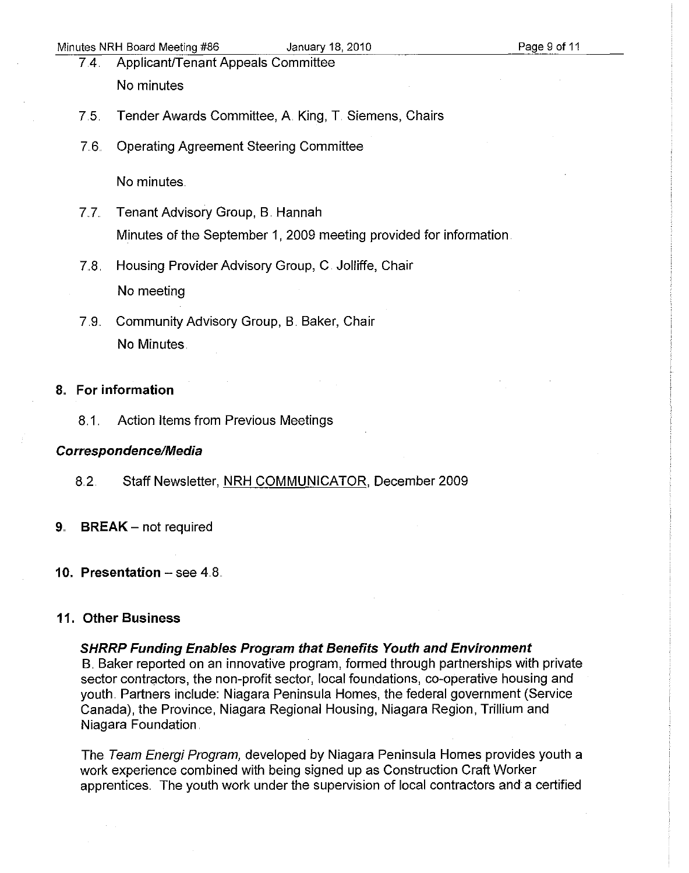- 7.4. Applicant/Tenant Appeals Committee No minutes
- 7.5. Tender Awards Committee, A King, T. Siemens, Chairs
- 7.6. Operating Agreement Steering Committee

No minutes.

- 7.7. Tenant Advisory Group, B. Hannah Minutes of the September 1, 2009 meeting provided for information.
- 7.8. Housing Provider Advisory Group, C. Jolliffe, Chair No meeting
- 7.9. Community Advisory Group, B. Baker, Chair No Minutes.

#### 8" **For information**

8.1. Action Items from Previous Meetings

#### Correspondence/Media

- 8.2. Staff Newsletter, NRH COMMUNICATOR, December 2009
- 9. **BREAK** not required
- **10. Presentation** see 4.8.

#### **11. Other Business**

**SHRRP Funding Enables Program that Benefits Youth and Environment** 

B. Baker reported on an innovative program, formed through partnerships with private sector contractors, the non-profit sector, local foundations, co-operative housing and youth. Partners include: Niagara Peninsula Homes, the federal government (Service Canada), the Province, Niagara Regional Housing, Niagara Region, Trillium and Niagara Foundation.

The Team Energi Program, developed by Niagara Peninsula Homes provides youth a work experience combined with being signed up as Construction Craft Worker apprentices.. The youth work under the supervision of local contractors and a certified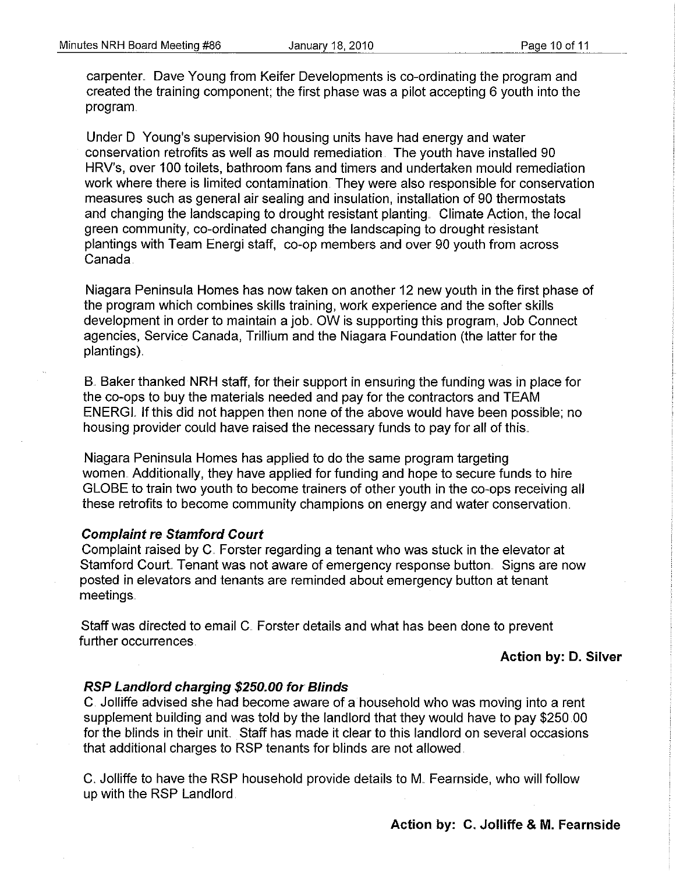carpenter. Dave Young from Keifer Developments is co-ordinating the program and created the training component; the first phase was a pilot accepting 6 youth into the program.

Under D Young's supervision 90 housing units have had energy and water conservation retrofits as well as mould remediation. The youth have installed 90 HRV's, over 100 toilets, bathroom fans and timers and undertaken mould remediation work where there is limited contamination. They were also responsible for conservation measures such as general air sealing and insulation, installation of 90 thermostats and changing the landscaping to drought resistant planting. Climate Action, the local green community, co-ordinated changing the landscaping to drought resistant plantings with Team Energi staff, co-op members and over 90 youth from across Canada.

Niagara Peninsula Homes has now taken on another 12 new youth in the first phase of the program which combines skills training, work experience and the softer skills development in order to maintain a job. OW is supporting this program, Job Connect agencies, Service Canada, Trillium and the Niagara Foundation (the latter for the plantings) ..

B. Baker thanked NRH staff, for their support in ensuring the funding was in place for the co-ops to buy the materials needed and pay for the contractors and TEAM ENERGL If this did not happen then none of the above would have been possible; no housing provider could have raised the necessary funds to pay for all of this ..

Niagara Peninsula Homes has applied to do the same program targeting women. Additionally, they have applied for funding and hope to secure funds to hire GLOBE to train two youth to become trainers of other youth in the co-ops receiving all these retrofits to become community champions on energy and water conservation ..

#### **Complaint re Stamford Court**

Complaint raised by C. Forster regarding a tenant who was stuck in the elevator at Stamford Court. Tenant was not aware of emergency response button. Signs are now posted in elevators and tenants are reminded about emergency button at tenant meetings ..

Staff was directed to email C. Forster details and what has been done to prevent further occurrences.

#### **Action by: D. Silver**

#### **RSP Landlord charging \$250.00 for Blinds**

C. Jolliffe advised she had become aware of a household who was moving into a rent supplement building and was told by the landlord that they would have to pay \$250.00 for the blinds in their unit. Staff has made it clear to this landlord on several occasions that additional charges to RSP tenants for blinds are not allowed.

C. Jolliffe to have the RSP household provide details to M. Fearnside, who will follow up with the RSP Landlord.